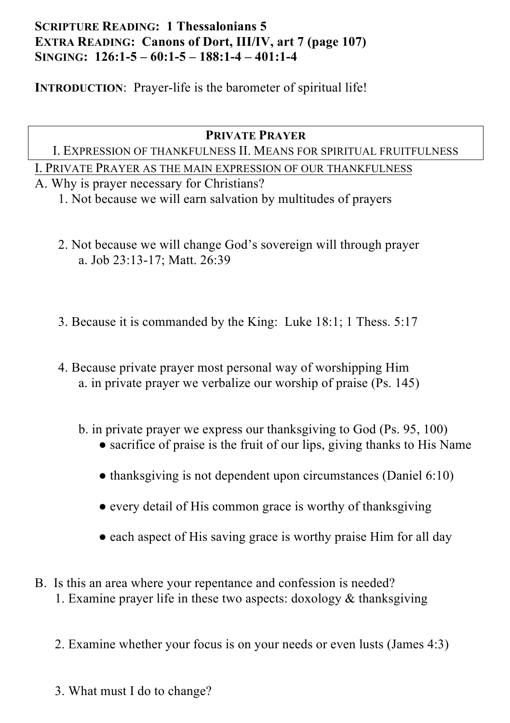# **SCRIPTURE READING: 1 Thessalonians 5 EXTRA READING: Canons of Dort, III/IV, art 7 (page 107) SINGING: 126:1-5 – 60:1-5 – 188:1-4 – 401:1-4**

**INTRODUCTION:** Prayer-life is the barometer of spiritual life!

### **PRIVATE PRAYER**

### I. EXPRESSION OF THANKFULNESS II. MEANS FOR SPIRITUAL FRUITFULNESS

I. PRIVATE PRAYER AS THE MAIN EXPRESSION OF OUR THANKFULNESS

A. Why is prayer necessary for Christians?

1. Not because we will earn salvation by multitudes of prayers

- 2. Not because we will change God's sovereign will through prayer a. Job 23:13-17; Matt. 26:39
- 3. Because it is commanded by the King: Luke 18:1; 1 Thess. 5:17
- 4. Because private prayer most personal way of worshipping Him a. in private prayer we verbalize our worship of praise (Ps. 145)
	- b. in private prayer we express our thanksgiving to God (Ps. 95, 100)
		- sacrifice of praise is the fruit of our lips, giving thanks to His Name
		- thanksgiving is not dependent upon circumstances (Daniel 6:10)
		- every detail of His common grace is worthy of thanksgiving
		- each aspect of His saving grace is worthy praise Him for all day
- B. Is this an area where your repentance and confession is needed? 1. Examine prayer life in these two aspects: doxology  $&$  thanksgiving
	- 2. Examine whether your focus is on your needs or even lusts (James 4:3)
	- 3. What must I do to change?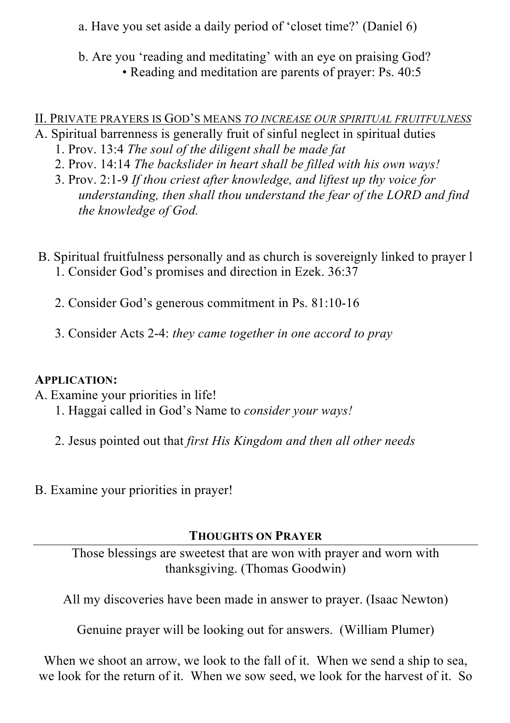a. Have you set aside a daily period of 'closet time?' (Daniel 6)

b. Are you 'reading and meditating' with an eye on praising God? • Reading and meditation are parents of prayer: Ps. 40:5

## II. PRIVATE PRAYERS IS GOD'S MEANS *TO INCREASE OUR SPIRITUAL FRUITFULNESS*

- A. Spiritual barrenness is generally fruit of sinful neglect in spiritual duties
	- 1. Prov. 13:4 *The soul of the diligent shall be made fat*
	- 2. Prov. 14:14 *The backslider in heart shall be filled with his own ways!*
	- 3. Prov. 2:1-9 *If thou criest after knowledge, and liftest up thy voice for understanding, then shall thou understand the fear of the LORD and find the knowledge of God.*
- B. Spiritual fruitfulness personally and as church is sovereignly linked to prayer l 1. Consider God's promises and direction in Ezek. 36:37
	- 2. Consider God's generous commitment in Ps. 81:10-16
	- 3. Consider Acts 2-4: *they came together in one accord to pray*

### **APPLICATION:**

- A. Examine your priorities in life!
	- 1. Haggai called in God's Name to *consider your ways!*
	- 2. Jesus pointed out that *first His Kingdom and then all other needs*
- B. Examine your priorities in prayer!

# **THOUGHTS ON PRAYER**

Those blessings are sweetest that are won with prayer and worn with thanksgiving. (Thomas Goodwin)

All my discoveries have been made in answer to prayer. (Isaac Newton)

Genuine prayer will be looking out for answers. (William Plumer)

When we shoot an arrow, we look to the fall of it. When we send a ship to sea, we look for the return of it. When we sow seed, we look for the harvest of it. So